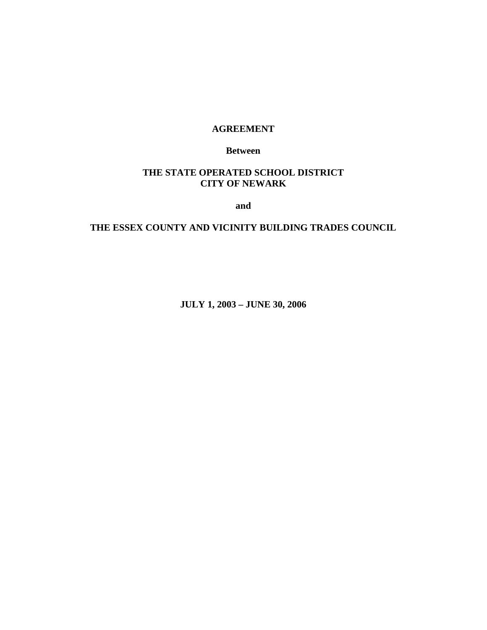### **AGREEMENT**

**Between** 

## **THE STATE OPERATED SCHOOL DISTRICT CITY OF NEWARK**

**and** 

## **THE ESSEX COUNTY AND VICINITY BUILDING TRADES COUNCIL**

**JULY 1, 2003 – JUNE 30, 2006**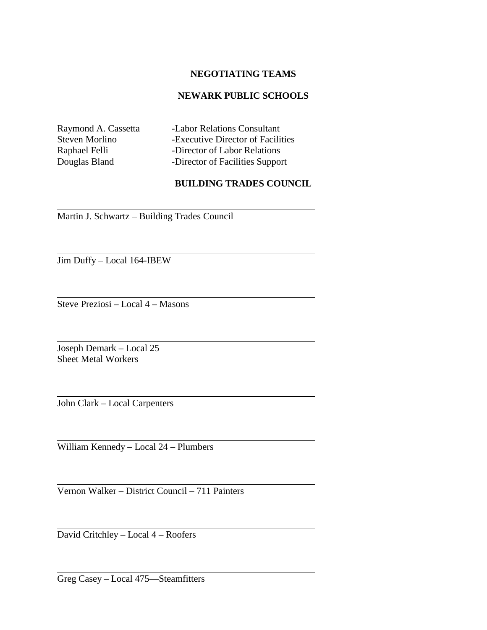### **NEGOTIATING TEAMS**

### **NEWARK PUBLIC SCHOOLS**

l

l

l

 $\overline{a}$ 

 $\overline{a}$ 

 $\overline{a}$ 

l

l

l

Raymond A. Cassetta -Labor Relations Consultant Steven Morlino -Executive Director of Facilities Raphael Felli -Director of Labor Relations Douglas Bland -Director of Facilities Support

### **BUILDING TRADES COUNCIL**

Martin J. Schwartz – Building Trades Council

Jim Duffy – Local 164-IBEW

Steve Preziosi – Local 4 – Masons

Joseph Demark – Local 25 Sheet Metal Workers

John Clark – Local Carpenters

William Kennedy – Local 24 – Plumbers

Vernon Walker – District Council – 711 Painters

David Critchley – Local 4 – Roofers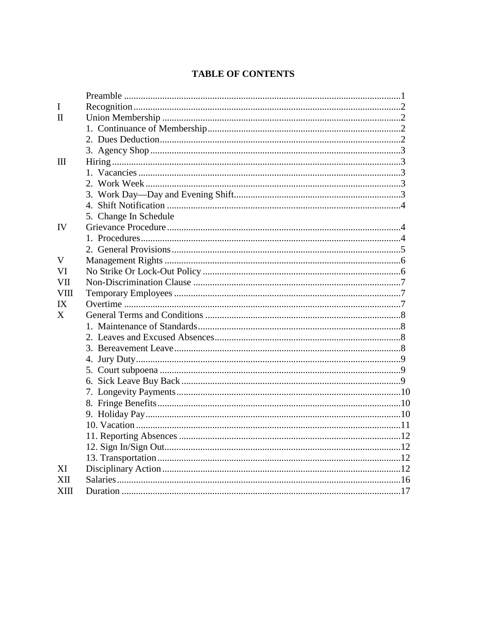## **TABLE OF CONTENTS**

| I           |                       |
|-------------|-----------------------|
| Π           |                       |
|             |                       |
|             |                       |
|             |                       |
| Ш           |                       |
|             |                       |
|             |                       |
|             |                       |
|             |                       |
|             | 5. Change In Schedule |
| IV          |                       |
|             |                       |
|             |                       |
| V           |                       |
| VI          |                       |
| VII         |                       |
| <b>VIII</b> |                       |
| IX          |                       |
| X           |                       |
|             |                       |
|             |                       |
|             |                       |
|             |                       |
|             |                       |
|             |                       |
|             |                       |
|             |                       |
|             |                       |
|             |                       |
|             |                       |
|             |                       |
|             |                       |
| XI          |                       |
| XН          |                       |
| XШ          |                       |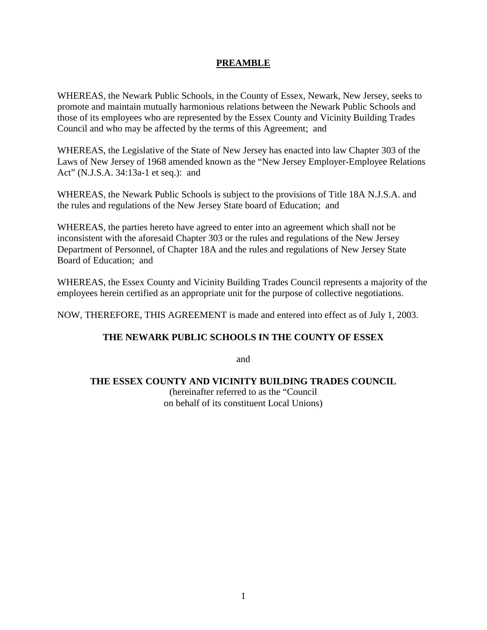## **PREAMBLE**

WHEREAS, the Newark Public Schools, in the County of Essex, Newark, New Jersey, seeks to promote and maintain mutually harmonious relations between the Newark Public Schools and those of its employees who are represented by the Essex County and Vicinity Building Trades Council and who may be affected by the terms of this Agreement; and

WHEREAS, the Legislative of the State of New Jersey has enacted into law Chapter 303 of the Laws of New Jersey of 1968 amended known as the "New Jersey Employer-Employee Relations Act" (N.J.S.A. 34:13a-1 et seq.): and

WHEREAS, the Newark Public Schools is subject to the provisions of Title 18A N.J.S.A. and the rules and regulations of the New Jersey State board of Education; and

WHEREAS, the parties hereto have agreed to enter into an agreement which shall not be inconsistent with the aforesaid Chapter 303 or the rules and regulations of the New Jersey Department of Personnel, of Chapter 18A and the rules and regulations of New Jersey State Board of Education; and

WHEREAS, the Essex County and Vicinity Building Trades Council represents a majority of the employees herein certified as an appropriate unit for the purpose of collective negotiations.

NOW, THEREFORE, THIS AGREEMENT is made and entered into effect as of July 1, 2003.

### **THE NEWARK PUBLIC SCHOOLS IN THE COUNTY OF ESSEX**

and

### **THE ESSEX COUNTY AND VICINITY BUILDING TRADES COUNCIL**

(hereinafter referred to as the "Council on behalf of its constituent Local Unions)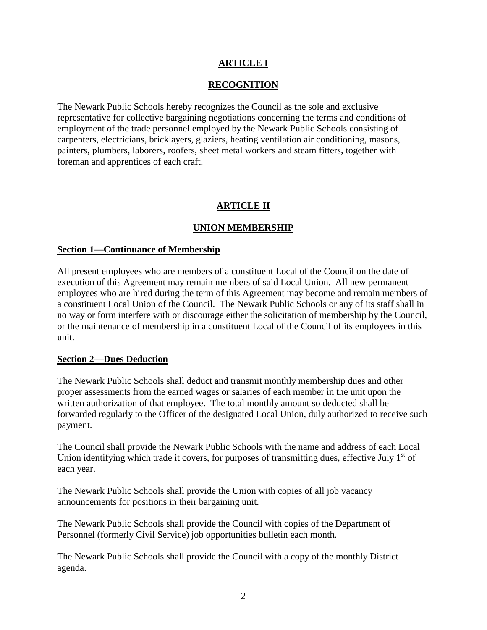## **ARTICLE I**

## **RECOGNITION**

The Newark Public Schools hereby recognizes the Council as the sole and exclusive representative for collective bargaining negotiations concerning the terms and conditions of employment of the trade personnel employed by the Newark Public Schools consisting of carpenters, electricians, bricklayers, glaziers, heating ventilation air conditioning, masons, painters, plumbers, laborers, roofers, sheet metal workers and steam fitters, together with foreman and apprentices of each craft.

## **ARTICLE II**

## **UNION MEMBERSHIP**

#### **Section 1—Continuance of Membership**

All present employees who are members of a constituent Local of the Council on the date of execution of this Agreement may remain members of said Local Union. All new permanent employees who are hired during the term of this Agreement may become and remain members of a constituent Local Union of the Council. The Newark Public Schools or any of its staff shall in no way or form interfere with or discourage either the solicitation of membership by the Council, or the maintenance of membership in a constituent Local of the Council of its employees in this unit.

#### **Section 2—Dues Deduction**

The Newark Public Schools shall deduct and transmit monthly membership dues and other proper assessments from the earned wages or salaries of each member in the unit upon the written authorization of that employee. The total monthly amount so deducted shall be forwarded regularly to the Officer of the designated Local Union, duly authorized to receive such payment.

The Council shall provide the Newark Public Schools with the name and address of each Local Union identifying which trade it covers, for purposes of transmitting dues, effective July  $1<sup>st</sup>$  of each year.

The Newark Public Schools shall provide the Union with copies of all job vacancy announcements for positions in their bargaining unit.

The Newark Public Schools shall provide the Council with copies of the Department of Personnel (formerly Civil Service) job opportunities bulletin each month.

The Newark Public Schools shall provide the Council with a copy of the monthly District agenda.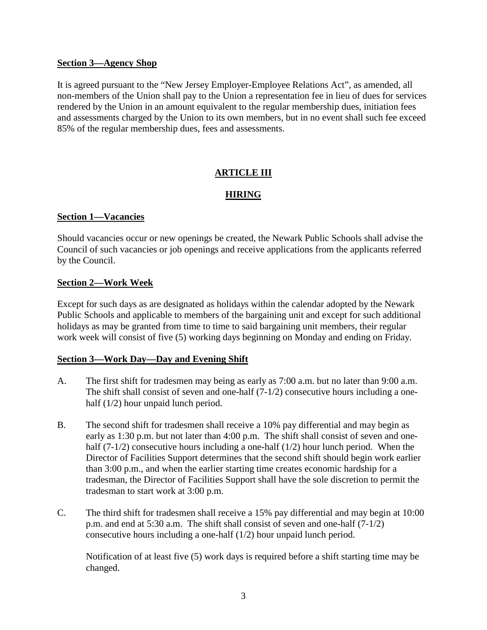#### **Section 3—Agency Shop**

It is agreed pursuant to the "New Jersey Employer-Employee Relations Act", as amended, all non-members of the Union shall pay to the Union a representation fee in lieu of dues for services rendered by the Union in an amount equivalent to the regular membership dues, initiation fees and assessments charged by the Union to its own members, but in no event shall such fee exceed 85% of the regular membership dues, fees and assessments.

## **ARTICLE III**

### **HIRING**

### **Section 1—Vacancies**

Should vacancies occur or new openings be created, the Newark Public Schools shall advise the Council of such vacancies or job openings and receive applications from the applicants referred by the Council.

### **Section 2—Work Week**

Except for such days as are designated as holidays within the calendar adopted by the Newark Public Schools and applicable to members of the bargaining unit and except for such additional holidays as may be granted from time to time to said bargaining unit members, their regular work week will consist of five (5) working days beginning on Monday and ending on Friday.

#### **Section 3—Work Day—Day and Evening Shift**

- A. The first shift for tradesmen may being as early as 7:00 a.m. but no later than 9:00 a.m. The shift shall consist of seven and one-half  $(7-1/2)$  consecutive hours including a onehalf (1/2) hour unpaid lunch period.
- B. The second shift for tradesmen shall receive a 10% pay differential and may begin as early as 1:30 p.m. but not later than 4:00 p.m. The shift shall consist of seven and onehalf  $(7-1/2)$  consecutive hours including a one-half  $(1/2)$  hour lunch period. When the Director of Facilities Support determines that the second shift should begin work earlier than 3:00 p.m., and when the earlier starting time creates economic hardship for a tradesman, the Director of Facilities Support shall have the sole discretion to permit the tradesman to start work at 3:00 p.m.
- C. The third shift for tradesmen shall receive a 15% pay differential and may begin at 10:00 p.m. and end at 5:30 a.m. The shift shall consist of seven and one-half (7-1/2) consecutive hours including a one-half (1/2) hour unpaid lunch period.

Notification of at least five (5) work days is required before a shift starting time may be changed.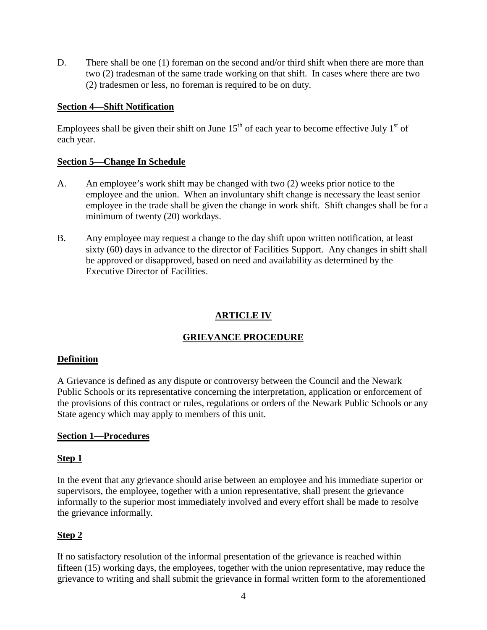D. There shall be one (1) foreman on the second and/or third shift when there are more than two (2) tradesman of the same trade working on that shift. In cases where there are two (2) tradesmen or less, no foreman is required to be on duty.

### **Section 4—Shift Notification**

Employees shall be given their shift on June  $15<sup>th</sup>$  of each year to become effective July  $1<sup>st</sup>$  of each year.

### **Section 5—Change In Schedule**

- A. An employee's work shift may be changed with two (2) weeks prior notice to the employee and the union. When an involuntary shift change is necessary the least senior employee in the trade shall be given the change in work shift. Shift changes shall be for a minimum of twenty (20) workdays.
- B. Any employee may request a change to the day shift upon written notification, at least sixty (60) days in advance to the director of Facilities Support. Any changes in shift shall be approved or disapproved, based on need and availability as determined by the Executive Director of Facilities.

## **ARTICLE IV**

## **GRIEVANCE PROCEDURE**

#### **Definition**

A Grievance is defined as any dispute or controversy between the Council and the Newark Public Schools or its representative concerning the interpretation, application or enforcement of the provisions of this contract or rules, regulations or orders of the Newark Public Schools or any State agency which may apply to members of this unit.

### **Section 1—Procedures**

#### **Step 1**

In the event that any grievance should arise between an employee and his immediate superior or supervisors, the employee, together with a union representative, shall present the grievance informally to the superior most immediately involved and every effort shall be made to resolve the grievance informally.

### **Step 2**

If no satisfactory resolution of the informal presentation of the grievance is reached within fifteen (15) working days, the employees, together with the union representative, may reduce the grievance to writing and shall submit the grievance in formal written form to the aforementioned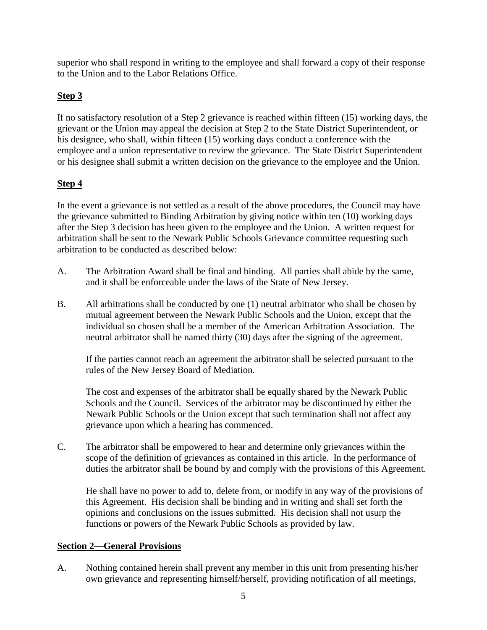superior who shall respond in writing to the employee and shall forward a copy of their response to the Union and to the Labor Relations Office.

# **Step 3**

If no satisfactory resolution of a Step 2 grievance is reached within fifteen (15) working days, the grievant or the Union may appeal the decision at Step 2 to the State District Superintendent, or his designee, who shall, within fifteen (15) working days conduct a conference with the employee and a union representative to review the grievance. The State District Superintendent or his designee shall submit a written decision on the grievance to the employee and the Union.

## **Step 4**

In the event a grievance is not settled as a result of the above procedures, the Council may have the grievance submitted to Binding Arbitration by giving notice within ten (10) working days after the Step 3 decision has been given to the employee and the Union. A written request for arbitration shall be sent to the Newark Public Schools Grievance committee requesting such arbitration to be conducted as described below:

- A. The Arbitration Award shall be final and binding. All parties shall abide by the same, and it shall be enforceable under the laws of the State of New Jersey.
- B. All arbitrations shall be conducted by one (1) neutral arbitrator who shall be chosen by mutual agreement between the Newark Public Schools and the Union, except that the individual so chosen shall be a member of the American Arbitration Association. The neutral arbitrator shall be named thirty (30) days after the signing of the agreement.

If the parties cannot reach an agreement the arbitrator shall be selected pursuant to the rules of the New Jersey Board of Mediation.

The cost and expenses of the arbitrator shall be equally shared by the Newark Public Schools and the Council. Services of the arbitrator may be discontinued by either the Newark Public Schools or the Union except that such termination shall not affect any grievance upon which a hearing has commenced.

C. The arbitrator shall be empowered to hear and determine only grievances within the scope of the definition of grievances as contained in this article. In the performance of duties the arbitrator shall be bound by and comply with the provisions of this Agreement.

He shall have no power to add to, delete from, or modify in any way of the provisions of this Agreement. His decision shall be binding and in writing and shall set forth the opinions and conclusions on the issues submitted. His decision shall not usurp the functions or powers of the Newark Public Schools as provided by law.

## **Section 2—General Provisions**

A. Nothing contained herein shall prevent any member in this unit from presenting his/her own grievance and representing himself/herself, providing notification of all meetings,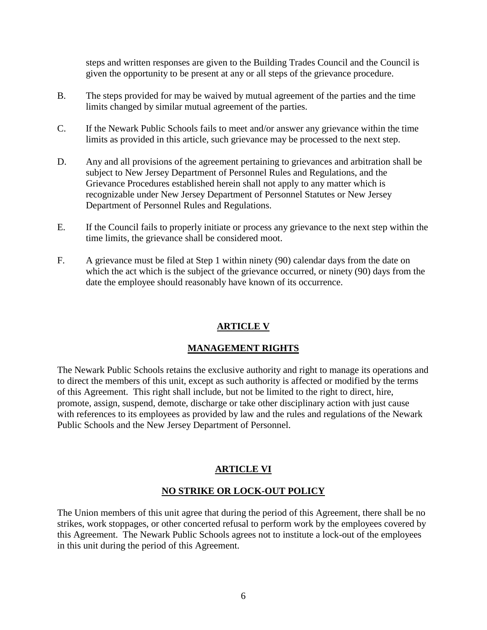steps and written responses are given to the Building Trades Council and the Council is given the opportunity to be present at any or all steps of the grievance procedure.

- B. The steps provided for may be waived by mutual agreement of the parties and the time limits changed by similar mutual agreement of the parties.
- C. If the Newark Public Schools fails to meet and/or answer any grievance within the time limits as provided in this article, such grievance may be processed to the next step.
- D. Any and all provisions of the agreement pertaining to grievances and arbitration shall be subject to New Jersey Department of Personnel Rules and Regulations, and the Grievance Procedures established herein shall not apply to any matter which is recognizable under New Jersey Department of Personnel Statutes or New Jersey Department of Personnel Rules and Regulations.
- E. If the Council fails to properly initiate or process any grievance to the next step within the time limits, the grievance shall be considered moot.
- F. A grievance must be filed at Step 1 within ninety (90) calendar days from the date on which the act which is the subject of the grievance occurred, or ninety (90) days from the date the employee should reasonably have known of its occurrence.

## **ARTICLE V**

### **MANAGEMENT RIGHTS**

The Newark Public Schools retains the exclusive authority and right to manage its operations and to direct the members of this unit, except as such authority is affected or modified by the terms of this Agreement. This right shall include, but not be limited to the right to direct, hire, promote, assign, suspend, demote, discharge or take other disciplinary action with just cause with references to its employees as provided by law and the rules and regulations of the Newark Public Schools and the New Jersey Department of Personnel.

### **ARTICLE VI**

### **NO STRIKE OR LOCK-OUT POLICY**

The Union members of this unit agree that during the period of this Agreement, there shall be no strikes, work stoppages, or other concerted refusal to perform work by the employees covered by this Agreement. The Newark Public Schools agrees not to institute a lock-out of the employees in this unit during the period of this Agreement.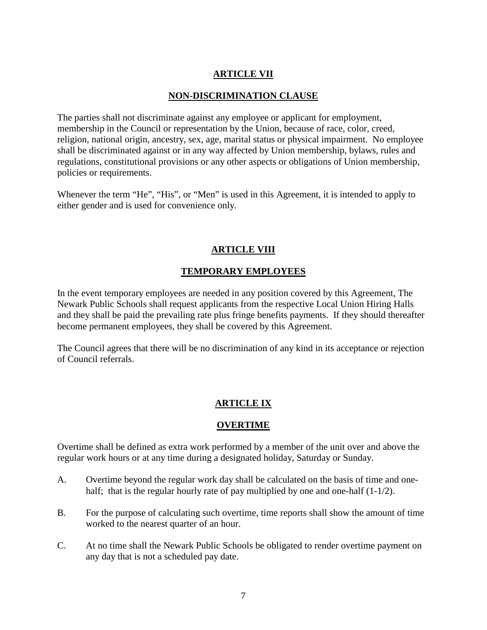## **ARTICLE VII**

### **NON-DISCRIMINATION CLAUSE**

The parties shall not discriminate against any employee or applicant for employment, membership in the Council or representation by the Union, because of race, color, creed, religion, national origin, ancestry, sex, age, marital status or physical impairment. No employee shall be discriminated against or in any way affected by Union membership, bylaws, rules and regulations, constitutional provisions or any other aspects or obligations of Union membership, policies or requirements.

Whenever the term "He", "His", or "Men" is used in this Agreement, it is intended to apply to either gender and is used for convenience only.

### **ARTICLE VIII**

### **TEMPORARY EMPLOYEES**

In the event temporary employees are needed in any position covered by this Agreement, The Newark Public Schools shall request applicants from the respective Local Union Hiring Halls and they shall be paid the prevailing rate plus fringe benefits payments. If they should thereafter become permanent employees, they shall be covered by this Agreement.

The Council agrees that there will be no discrimination of any kind in its acceptance or rejection of Council referrals.

### **ARTICLE IX**

#### **OVERTIME**

Overtime shall be defined as extra work performed by a member of the unit over and above the regular work hours or at any time during a designated holiday, Saturday or Sunday.

- A. Overtime beyond the regular work day shall be calculated on the basis of time and onehalf; that is the regular hourly rate of pay multiplied by one and one-half  $(1-1/2)$ .
- B. For the purpose of calculating such overtime, time reports shall show the amount of time worked to the nearest quarter of an hour.
- C. At no time shall the Newark Public Schools be obligated to render overtime payment on any day that is not a scheduled pay date.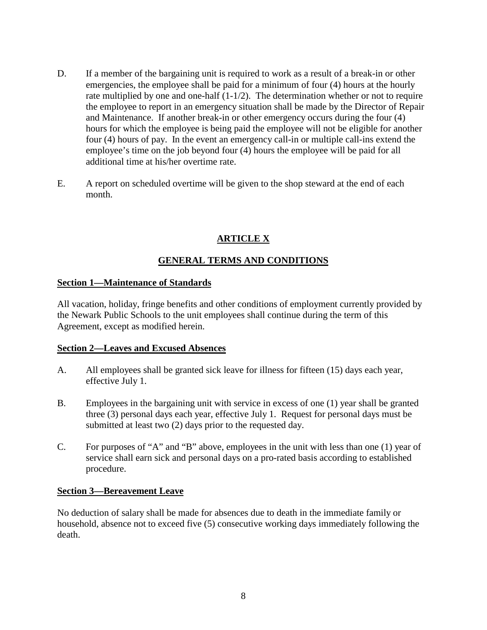- D. If a member of the bargaining unit is required to work as a result of a break-in or other emergencies, the employee shall be paid for a minimum of four (4) hours at the hourly rate multiplied by one and one-half  $(1-1/2)$ . The determination whether or not to require the employee to report in an emergency situation shall be made by the Director of Repair and Maintenance. If another break-in or other emergency occurs during the four (4) hours for which the employee is being paid the employee will not be eligible for another four (4) hours of pay. In the event an emergency call-in or multiple call-ins extend the employee's time on the job beyond four (4) hours the employee will be paid for all additional time at his/her overtime rate.
- E. A report on scheduled overtime will be given to the shop steward at the end of each month.

## **ARTICLE X**

## **GENERAL TERMS AND CONDITIONS**

### **Section 1—Maintenance of Standards**

All vacation, holiday, fringe benefits and other conditions of employment currently provided by the Newark Public Schools to the unit employees shall continue during the term of this Agreement, except as modified herein.

### **Section 2—Leaves and Excused Absences**

- A. All employees shall be granted sick leave for illness for fifteen (15) days each year, effective July 1.
- B. Employees in the bargaining unit with service in excess of one (1) year shall be granted three (3) personal days each year, effective July 1. Request for personal days must be submitted at least two (2) days prior to the requested day.
- C. For purposes of "A" and "B" above, employees in the unit with less than one (1) year of service shall earn sick and personal days on a pro-rated basis according to established procedure.

### **Section 3—Bereavement Leave**

No deduction of salary shall be made for absences due to death in the immediate family or household, absence not to exceed five (5) consecutive working days immediately following the death.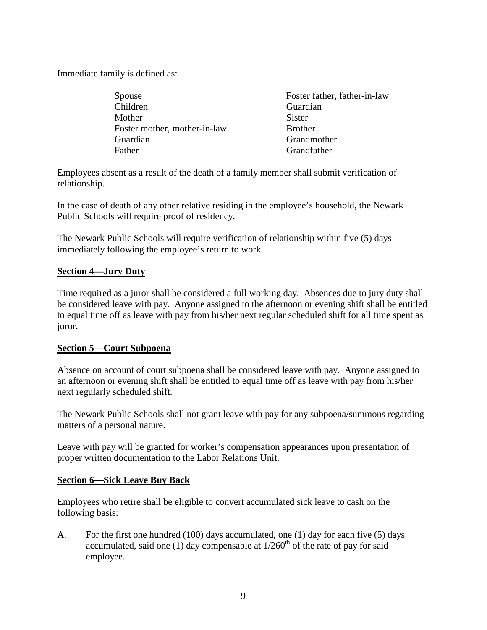Immediate family is defined as:

Spouse Foster father, father-in-law Children Guardian Mother Sister Foster mother, mother-in-law Brother Guardian Grandmother Father Grandfather Grandfather

Employees absent as a result of the death of a family member shall submit verification of relationship.

In the case of death of any other relative residing in the employee's household, the Newark Public Schools will require proof of residency.

The Newark Public Schools will require verification of relationship within five (5) days immediately following the employee's return to work.

### **Section 4—Jury Duty**

Time required as a juror shall be considered a full working day. Absences due to jury duty shall be considered leave with pay. Anyone assigned to the afternoon or evening shift shall be entitled to equal time off as leave with pay from his/her next regular scheduled shift for all time spent as juror.

### **Section 5—Court Subpoena**

Absence on account of court subpoena shall be considered leave with pay. Anyone assigned to an afternoon or evening shift shall be entitled to equal time off as leave with pay from his/her next regularly scheduled shift.

The Newark Public Schools shall not grant leave with pay for any subpoena/summons regarding matters of a personal nature.

Leave with pay will be granted for worker's compensation appearances upon presentation of proper written documentation to the Labor Relations Unit.

#### **Section 6—Sick Leave Buy Back**

Employees who retire shall be eligible to convert accumulated sick leave to cash on the following basis:

A. For the first one hundred (100) days accumulated, one (1) day for each five (5) days accumulated, said one (1) day compensable at  $1/260<sup>th</sup>$  of the rate of pay for said employee.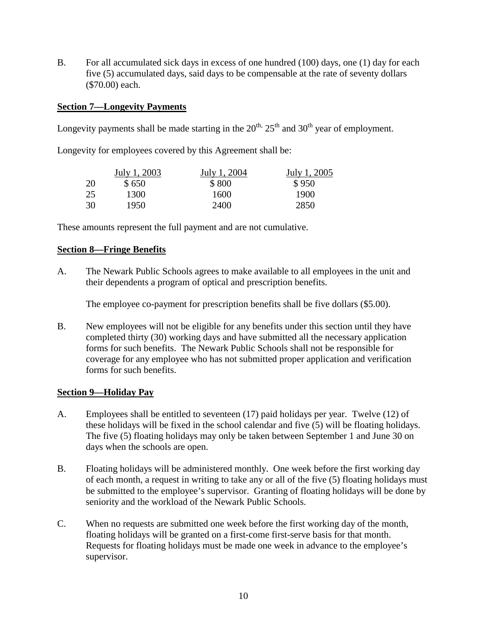B. For all accumulated sick days in excess of one hundred (100) days, one (1) day for each five (5) accumulated days, said days to be compensable at the rate of seventy dollars (\$70.00) each.

### **Section 7—Longevity Payments**

Longevity payments shall be made starting in the  $20^{th}$ ,  $25^{th}$  and  $30^{th}$  year of employment.

Longevity for employees covered by this Agreement shall be:

|    | July 1, 2003 | July 1, 2004 | July 1, 2005 |
|----|--------------|--------------|--------------|
| 20 | \$650        | \$800        | \$950        |
| 25 | 1300         | 1600         | 1900         |
| 30 | 1950         | 2400         | 2850         |

These amounts represent the full payment and are not cumulative.

### **Section 8—Fringe Benefits**

A. The Newark Public Schools agrees to make available to all employees in the unit and their dependents a program of optical and prescription benefits.

The employee co-payment for prescription benefits shall be five dollars (\$5.00).

B. New employees will not be eligible for any benefits under this section until they have completed thirty (30) working days and have submitted all the necessary application forms for such benefits. The Newark Public Schools shall not be responsible for coverage for any employee who has not submitted proper application and verification forms for such benefits.

### **Section 9—Holiday Pay**

- A. Employees shall be entitled to seventeen (17) paid holidays per year. Twelve (12) of these holidays will be fixed in the school calendar and five (5) will be floating holidays. The five (5) floating holidays may only be taken between September 1 and June 30 on days when the schools are open.
- B. Floating holidays will be administered monthly. One week before the first working day of each month, a request in writing to take any or all of the five (5) floating holidays must be submitted to the employee's supervisor. Granting of floating holidays will be done by seniority and the workload of the Newark Public Schools.
- C. When no requests are submitted one week before the first working day of the month, floating holidays will be granted on a first-come first-serve basis for that month. Requests for floating holidays must be made one week in advance to the employee's supervisor.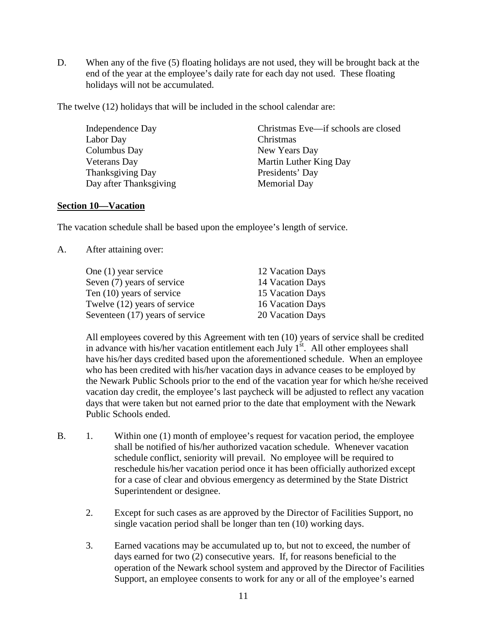D. When any of the five (5) floating holidays are not used, they will be brought back at the end of the year at the employee's daily rate for each day not used. These floating holidays will not be accumulated.

The twelve (12) holidays that will be included in the school calendar are:

 Independence Day Christmas Eve—if schools are closed Labor Day Christmas Columbus Day New Years Day Veterans Day Martin Luther King Day Thanksgiving Day Presidents' Day Day after Thanksgiving Memorial Day

#### **Section 10—Vacation**

The vacation schedule shall be based upon the employee's length of service.

A. After attaining over:

| One $(1)$ year service          | 12 Vacation Days |
|---------------------------------|------------------|
| Seven (7) years of service      | 14 Vacation Days |
| Ten (10) years of service       | 15 Vacation Days |
| Twelve (12) years of service    | 16 Vacation Days |
| Seventeen (17) years of service | 20 Vacation Days |

 All employees covered by this Agreement with ten (10) years of service shall be credited in advance with his/her vacation entitlement each July  $1<sup>st</sup>$ . All other employees shall have his/her days credited based upon the aforementioned schedule. When an employee who has been credited with his/her vacation days in advance ceases to be employed by the Newark Public Schools prior to the end of the vacation year for which he/she received vacation day credit, the employee's last paycheck will be adjusted to reflect any vacation days that were taken but not earned prior to the date that employment with the Newark Public Schools ended.

- B. 1. Within one (1) month of employee's request for vacation period, the employee shall be notified of his/her authorized vacation schedule. Whenever vacation schedule conflict, seniority will prevail. No employee will be required to reschedule his/her vacation period once it has been officially authorized except for a case of clear and obvious emergency as determined by the State District Superintendent or designee.
	- 2. Except for such cases as are approved by the Director of Facilities Support, no single vacation period shall be longer than ten (10) working days.
	- 3. Earned vacations may be accumulated up to, but not to exceed, the number of days earned for two (2) consecutive years. If, for reasons beneficial to the operation of the Newark school system and approved by the Director of Facilities Support, an employee consents to work for any or all of the employee's earned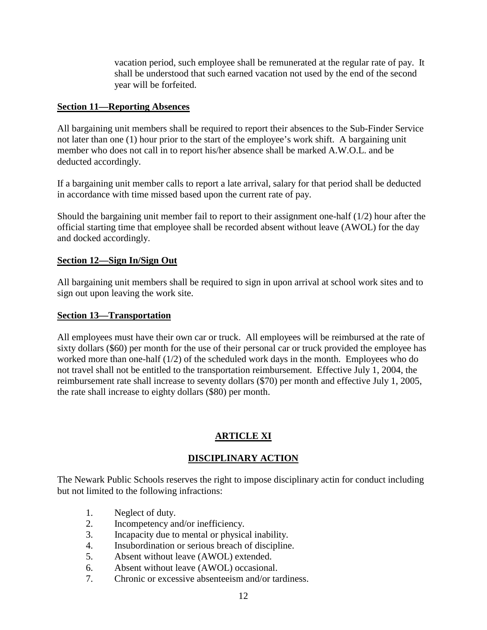vacation period, such employee shall be remunerated at the regular rate of pay. It shall be understood that such earned vacation not used by the end of the second year will be forfeited.

### **Section 11—Reporting Absences**

All bargaining unit members shall be required to report their absences to the Sub-Finder Service not later than one (1) hour prior to the start of the employee's work shift. A bargaining unit member who does not call in to report his/her absence shall be marked A.W.O.L. and be deducted accordingly.

If a bargaining unit member calls to report a late arrival, salary for that period shall be deducted in accordance with time missed based upon the current rate of pay.

Should the bargaining unit member fail to report to their assignment one-half  $(1/2)$  hour after the official starting time that employee shall be recorded absent without leave (AWOL) for the day and docked accordingly.

### **Section 12—Sign In/Sign Out**

All bargaining unit members shall be required to sign in upon arrival at school work sites and to sign out upon leaving the work site.

#### **Section 13—Transportation**

All employees must have their own car or truck. All employees will be reimbursed at the rate of sixty dollars (\$60) per month for the use of their personal car or truck provided the employee has worked more than one-half (1/2) of the scheduled work days in the month. Employees who do not travel shall not be entitled to the transportation reimbursement. Effective July 1, 2004, the reimbursement rate shall increase to seventy dollars (\$70) per month and effective July 1, 2005, the rate shall increase to eighty dollars (\$80) per month.

## **ARTICLE XI**

### **DISCIPLINARY ACTION**

The Newark Public Schools reserves the right to impose disciplinary actin for conduct including but not limited to the following infractions:

- 1. Neglect of duty.
- 2. Incompetency and/or inefficiency.
- 3. Incapacity due to mental or physical inability.
- 4. Insubordination or serious breach of discipline.
- 5. Absent without leave (AWOL) extended.
- 6. Absent without leave (AWOL) occasional.
- 7. Chronic or excessive absenteeism and/or tardiness.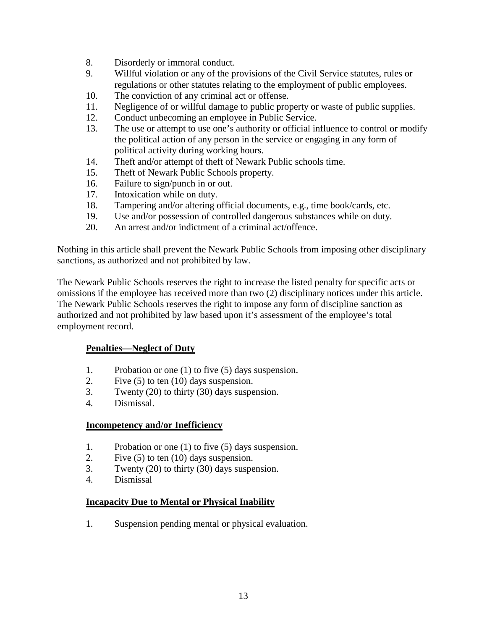- 8. Disorderly or immoral conduct.
- 9. Willful violation or any of the provisions of the Civil Service statutes, rules or regulations or other statutes relating to the employment of public employees.
- 10. The conviction of any criminal act or offense.
- 11. Negligence of or willful damage to public property or waste of public supplies.
- 12. Conduct unbecoming an employee in Public Service.
- 13. The use or attempt to use one's authority or official influence to control or modify the political action of any person in the service or engaging in any form of political activity during working hours.
- 14. Theft and/or attempt of theft of Newark Public schools time.
- 15. Theft of Newark Public Schools property.
- 16. Failure to sign/punch in or out.
- 17. Intoxication while on duty.
- 18. Tampering and/or altering official documents, e.g., time book/cards, etc.
- 19. Use and/or possession of controlled dangerous substances while on duty.
- 20. An arrest and/or indictment of a criminal act/offence.

Nothing in this article shall prevent the Newark Public Schools from imposing other disciplinary sanctions, as authorized and not prohibited by law.

The Newark Public Schools reserves the right to increase the listed penalty for specific acts or omissions if the employee has received more than two (2) disciplinary notices under this article. The Newark Public Schools reserves the right to impose any form of discipline sanction as authorized and not prohibited by law based upon it's assessment of the employee's total employment record.

#### **Penalties—Neglect of Duty**

- 1. Probation or one (1) to five (5) days suspension.
- 2. Five (5) to ten (10) days suspension.
- 3. Twenty (20) to thirty (30) days suspension.
- 4. Dismissal.

#### **Incompetency and/or Inefficiency**

- 1. Probation or one (1) to five (5) days suspension.
- 2. Five (5) to ten (10) days suspension.
- 3. Twenty (20) to thirty (30) days suspension.
- 4. Dismissal

#### **Incapacity Due to Mental or Physical Inability**

1. Suspension pending mental or physical evaluation.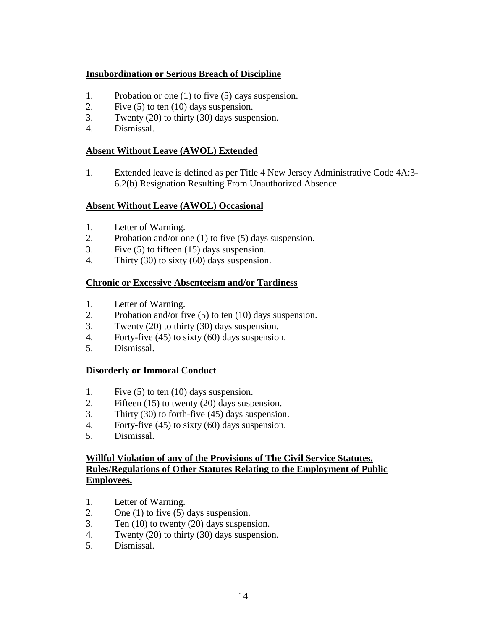## **Insubordination or Serious Breach of Discipline**

- 1. Probation or one (1) to five (5) days suspension.
- 2. Five (5) to ten (10) days suspension.
- 3. Twenty (20) to thirty (30) days suspension.
- 4. Dismissal.

## **Absent Without Leave (AWOL) Extended**

1. Extended leave is defined as per Title 4 New Jersey Administrative Code 4A:3- 6.2(b) Resignation Resulting From Unauthorized Absence.

## **Absent Without Leave (AWOL) Occasional**

- 1. Letter of Warning.
- 2. Probation and/or one (1) to five (5) days suspension.
- 3. Five (5) to fifteen (15) days suspension.
- 4. Thirty (30) to sixty (60) days suspension.

## **Chronic or Excessive Absenteeism and/or Tardiness**

- 1. Letter of Warning.
- 2. Probation and/or five (5) to ten (10) days suspension.
- 3. Twenty (20) to thirty (30) days suspension.
- 4. Forty-five (45) to sixty (60) days suspension.
- 5. Dismissal.

## **Disorderly or Immoral Conduct**

- 1. Five (5) to ten (10) days suspension.
- 2. Fifteen (15) to twenty (20) days suspension.
- 3. Thirty (30) to forth-five (45) days suspension.
- 4. Forty-five (45) to sixty (60) days suspension.
- 5. Dismissal.

### **Willful Violation of any of the Provisions of The Civil Service Statutes, Rules/Regulations of Other Statutes Relating to the Employment of Public Employees.**

- 1. Letter of Warning.
- 2. One  $(1)$  to five  $(5)$  days suspension.
- 3. Ten (10) to twenty (20) days suspension.
- 4. Twenty (20) to thirty (30) days suspension.
- 5. Dismissal.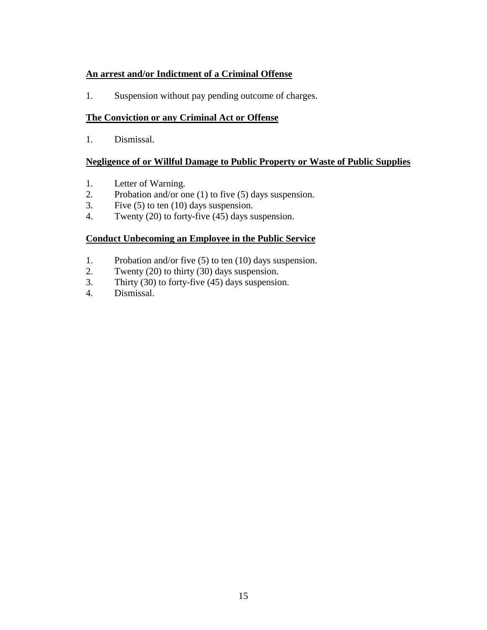## **An arrest and/or Indictment of a Criminal Offense**

1. Suspension without pay pending outcome of charges.

### **The Conviction or any Criminal Act or Offense**

1. Dismissal.

### **Negligence of or Willful Damage to Public Property or Waste of Public Supplies**

- 1. Letter of Warning.
- 2. Probation and/or one (1) to five (5) days suspension.
- 3. Five (5) to ten (10) days suspension.
- 4. Twenty (20) to forty-five (45) days suspension.

### **Conduct Unbecoming an Employee in the Public Service**

- 1. Probation and/or five (5) to ten (10) days suspension.
- 2. Twenty (20) to thirty (30) days suspension.
- 3. Thirty (30) to forty-five (45) days suspension.
- 4. Dismissal.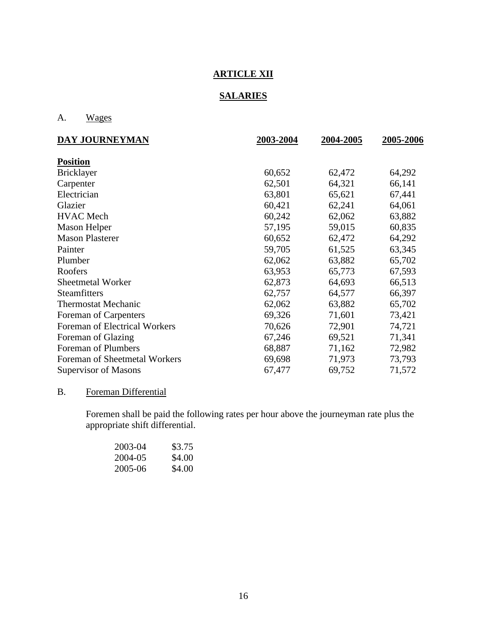# **ARTICLE XII**

## **SALARIES**

## A. Wages

| DAY JOURNEYMAN                | 2003-2004 | 2004-2005 | 2005-2006 |
|-------------------------------|-----------|-----------|-----------|
| <b>Position</b>               |           |           |           |
| <b>Bricklayer</b>             | 60,652    | 62,472    | 64,292    |
| Carpenter                     | 62,501    | 64,321    | 66,141    |
| Electrician                   | 63,801    | 65,621    | 67,441    |
| Glazier                       | 60,421    | 62,241    | 64,061    |
| <b>HVAC</b> Mech              | 60,242    | 62,062    | 63,882    |
| <b>Mason Helper</b>           | 57,195    | 59,015    | 60,835    |
| <b>Mason Plasterer</b>        | 60,652    | 62,472    | 64,292    |
| Painter                       | 59,705    | 61,525    | 63,345    |
| Plumber                       | 62,062    | 63,882    | 65,702    |
| Roofers                       | 63,953    | 65,773    | 67,593    |
| <b>Sheetmetal Worker</b>      | 62,873    | 64,693    | 66,513    |
| Steamfitters                  | 62,757    | 64,577    | 66,397    |
| <b>Thermostat Mechanic</b>    | 62,062    | 63,882    | 65,702    |
| Foreman of Carpenters         | 69,326    | 71,601    | 73,421    |
| Foreman of Electrical Workers | 70,626    | 72,901    | 74,721    |
| Foreman of Glazing            | 67,246    | 69,521    | 71,341    |
| Foreman of Plumbers           | 68,887    | 71,162    | 72,982    |
| Foreman of Sheetmetal Workers | 69,698    | 71,973    | 73,793    |
| Supervisor of Masons          | 67,477    | 69,752    | 71,572    |

# B. Foreman Differential

Foremen shall be paid the following rates per hour above the journeyman rate plus the appropriate shift differential.

| 2003-04 | \$3.75 |
|---------|--------|
| 2004-05 | \$4.00 |
| 2005-06 | \$4.00 |